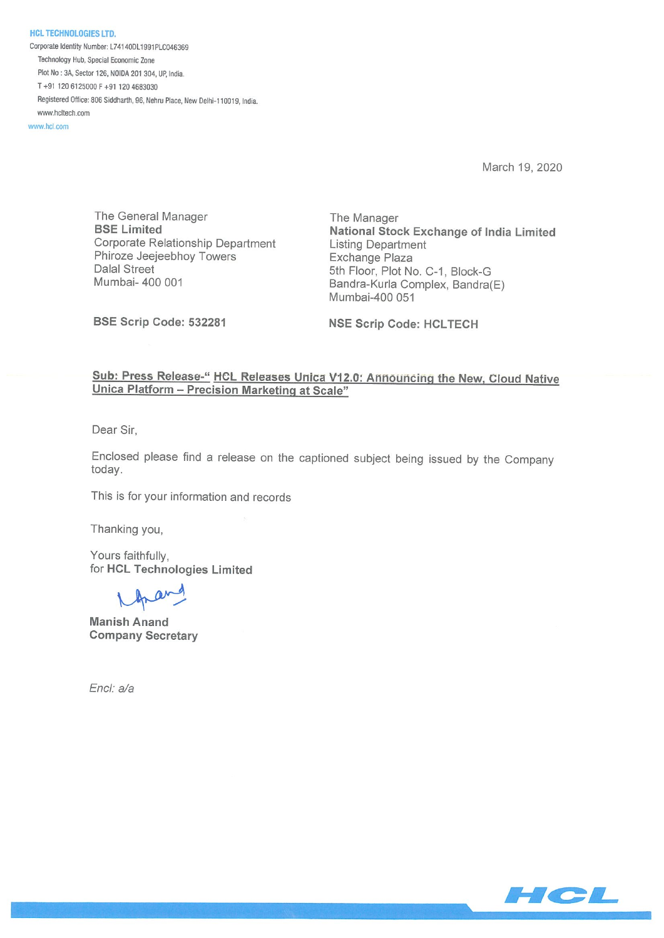**HCL TECHNOLOGIES LTD.** Corporate Identity Number: L74140DL1991PLC046369 Technology Hub, Special Economic Zone Plot No: 3A, Sector 126, NOIDA 201 304, UP, India. T +91 120 6125000 F +91 120 4683030 Registered Office: 806 Siddharth, 96, Nehru Place, New Delhi-110019, India. www.hcltech.com

www.hcl.com

March 19, 2020

The General Manager The Manager Corporate Relationship Department Listing Department Phiroze Jeejeebhoy Towers **Exchange Plaza** Dalal Street 5th Floor, Plot No. C-1, Block-G

BSE Limited National Stock Exchange of India Limited Mumbai- 400 001 **Bandra-Kurla Complex, Bandra**(E) Mumbai-400 051

BSE Scrip Code: 532281 NSE Scrip Code: HCLTECH

## Sub: Press Release-" HCL Releases Unica V12.0: Announcing the New, Cloud Native Unica Platform — Precision Marketing at Scale"

Dear Sir,

Enclosed please find a release on the captioned subject being issued by the Company today.

This is for your information and records

Thanking you,

Yours faithfully, for HCL Technologies Limited

Manish Anand Company Secretary

End: a/a

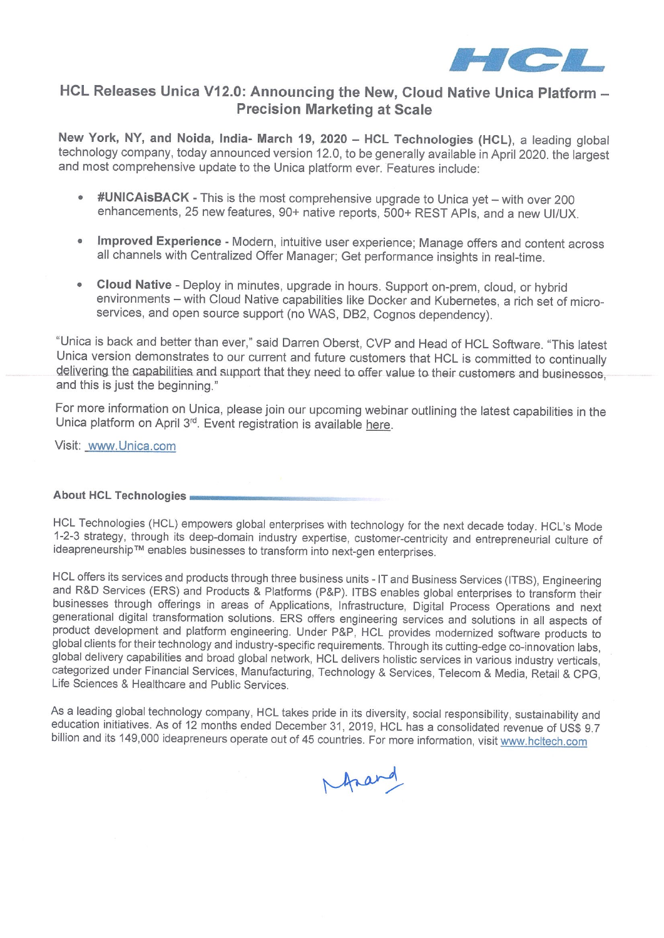

# HCL Releases Unica V12.O: Announcing the New, Cloud Native Unica Platform — Precision Marketing at Scale

New York, NY, and Noida, India- March 19, 2020 — HCL Technologies (HCL), a leading global technology company, today announced version 12.0, to be generally available in April 2020. the largest and most comprehensive update to the Unica platform ever. Features include:

- #UNICAisBACK This is the most comprehensive upgrade to Unica yet with over 200 enhancements, 25 new features, 90+ native reports, 500+ REST APIs, and a new Ul/UX.
- Improved Experience Modern, intuitive user experience; Manage offers and content across all channels with Centralized Offer Manager; Get performance insights in real-time.
- Cloud Native Deploy in minutes, upgrade in hours. Support on-prem, cloud, or hybrid environments — with Cloud Native capabilities like Docker and Kubernetes, a rich set of microservices, and open source support (no WAS, DB2, Cognos dependency).

"Unica is back and better than ever," said Darren Oberst, CVP and Head of HCL Software. "This latest Unica version demonstrates to our current and future customers that HCL is committed to continually delivering the capabilities and support that they need to offer value to their customers and businesses, and this is just the beginning."

For more information on Unica, please join our upcoming webinar outlining the latest capabilities in the Unica platform on April 3<sup>rd</sup>. Event registration is available here.

Visit: www.Unica.com

### About HCL Technologies

HCL Technologies (HCL) empowers global enterprises with technology for the next decade today. HCL's Mode 1-2-3 strategy, through its deep-domain industry expertise, customer-centricity and entrepreneurial culture of ideapreneurship™ enables businesses to transform into next-gen enterprises.

HCL offers its services and products through three business units - IT and Business Services (ITBS), Engineering and R&D Services (ERS) and Products & Platforms (P&P). ITBS enables global enterprises to transform their businesses through offerings in areas of Applications, Infrastructure, Digital Process Operations and next generational digital transformation solutions. ERS offers engineering services and solutions in all aspects of product development and platform engineering. Under P&P, HCL provides modernized software products to global clients for their technology and industry-specific requirements. Through its cutting-edge co-innovation labs, global delivery capabilities and broad global network, HCL delivers holistic services in various industry verticals, categorized under Financial Services, Manufacturing, Technology & Services, Telecom & Media, Retail & CPG, Life Sciences & Healthcare and Public Services.

As a leading global technology company, HCL takes pride in its diversity, social responsibility, sustainability and education initiatives. As of 12 months ended December 31, 2019, HCL has a consolidated revenue of USS 9.7 billion and its 149,000 ideapreneurs operate out of 45 countries. For more information, visit www.hcltech.com

frand